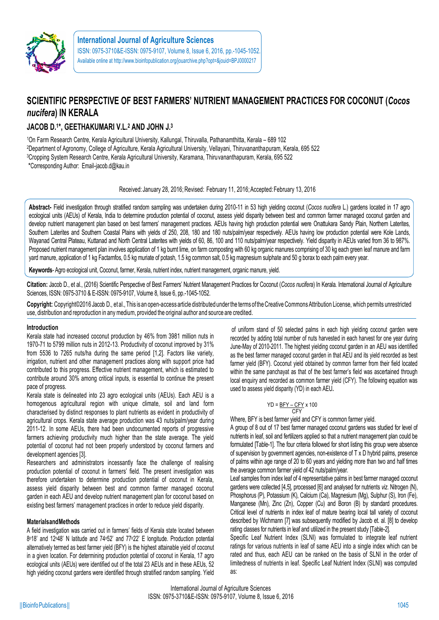

# **SCIENTIFIC PERSPECTIVE OF BEST FARMERS' NUTRIENT MANAGEMENT PRACTICES FOR COCONUT (***Cocos nucifera***) IN KERALA**

# **JACOB D.<sup>1</sup>\*, GEETHAKUMARI V.L.<sup>2</sup> AND JOHN J.<sup>3</sup>**

On Farm Research Centre, Kerala Agricultural University, Kallungal, Thiruvalla, Pathanamthitta, Kerala – 689 102 Department of Agronomy, College of Agriculture, Kerala Agricultural University, Vellayani, Thiruvananthapuram, Kerala, 695 522 Cropping System Research Centre, Kerala Agricultural University, Karamana, Thiruvananthapuram, Kerala, 695 522 \*Corresponding Author: Email-jacob.d@kau.in

Received: January 28, 2016; Revised: February 11, 2016; Accepted: February 13, 2016

**Abstract-** Field investigation through stratified random sampling was undertaken during 2010-11 in 53 high yielding coconut (*Cocos nucifera* L.) gardens located in 17 agro ecological units (AEUs) of Kerala, India to determine production potential of coconut, assess yield disparity between best and common farmer managed coconut garden and develop nutrient management plan based on best farmers' management practices. AEUs having high production potential were Onattukara Sandy Plain, Northern Laterites, Southern Laterites and Southern Coastal Plains with yields of 250, 208, 180 and 180 nuts/palm/year respectively. AEUs having low production potential were Kole Lands, Wayanad Central Plateau, Kuttanad and North Central Laterites with yields of 60, 86, 100 and 110 nuts/palm/year respectively. Yield disparity in AEUs varied from 36 to 987%. Proposed nutrient management plan involves application of 1 kg burnt lime, on farm composting with 60 kg organic manures comprising of 30 kg each green leaf manure and farm yard manure, application of 1 kg Factamfos, 0.5 kg muriate of potash, 1.5 kg common salt, 0.5 kg magnesium sulphate and 50 g borax to each palm every year.

**Keywords**- Agro ecological unit, Coconut, farmer, Kerala, nutrient index, nutrient management, organic manure, yield.

Citation: Jacob D., et al., (2016) Scientific Perspective of Best Farmers' Nutrient Management Practices for Coconut (Cocos nucifera) In Kerala. International Journal of Agriculture Sciences, ISSN: 0975-3710 & E-ISSN: 0975-9107, Volume 8, Issue 6, pp.-1045-1052.

**Copyright:** Copyright©2016 Jacob D., et al.,This is an open-access article distributed underthe terms of theCreative CommonsAttribution License, which permits unrestricted use, distribution and reproduction in anymedium, provided the original author and source are credited.

# **Introduction**

Kerala state had increased coconut production by 46% from 3981 million nuts in 1970-71 to 5799 million nuts in 2012-13. Productivity of coconut improved by 31% from 5536 to 7265 nuts/ha during the same period [1,2]. Factors like variety, irrigation, nutrient and other management practices along with support price had contributed to this progress. Effective nutrient management, which is estimated to contribute around 30% among critical inputs, is essential to continue the present pace of progress.

Kerala state is delineated into 23 agro ecological units (AEUs). Each AEU is a homogenous agricultural region with unique climate, soil and land form characterised by distinct responses to plant nutrients as evident in productivity of agricultural crops. Kerala state average production was 43 nuts/palm/year during 2011-12. In some AEUs, there had been undocumented reports of progressive farmers achieving productivity much higher than the state average. The yield potential of coconut had not been properly understood by coconut farmers and development agencies [3].

Researchers and administrators incessantly face the challenge of realising production potential of coconut in farmers' field. The present investigation was therefore undertaken to determine production potential of coconut in Kerala, assess yield disparity between best and common farmer managed coconut garden in each AEU and develop nutrient management plan for coconut based on existing best farmers' management practices in order to reduce yield disparity.

# **MaterialsandMethods**

A field investigation was carried out in farmers' fields of Kerala state located between 8 <sup>o</sup>18' and 12<sup>o</sup>48' N latitude and 74<sup>o</sup>52' and 77<sup>o</sup>22' E longitude. Production potential alternatively termed as best farmer yield (BFY) is the highest attainable yield of coconut in a given location. For determining production potential of coconut in Kerala, 17 agro ecological units (AEUs) were identified out of the total 23 AEUs and in these AEUs, 52 high yielding coconut gardens were identified through stratified random sampling. Yield

of uniform stand of 50 selected palms in each high yielding coconut garden were recorded by adding total number of nuts harvested in each harvest for one year during June-May of 2010-2011. The highest yielding coconut garden in an AEU was identified as the best farmer managed coconut garden in that AEU and its yield recorded as best farmer yield (BFY). Coconut yield obtained by common farmer from their field located within the same panchayat as that of the best farmer's field was ascertained through local enquiry and recorded as common farmer yield (CFY). The following equation was used to assess yield disparity (YD) in each AEU**.**

$$
YD = \frac{BFY - CFY}{CFY} \times 100
$$

Where, BFY is best farmer yield and CFY is common farmer yield.

A group of 8 out of 17 best farmer managed coconut gardens was studied for level of nutrients in leaf, soil and fertilizers applied so that a nutrient management plan could be formulated [Table-1]. The four criteria followed for short listing this group were absence of supervision by government agencies, non-existence of T x D hybrid palms, presence of palms within age range of 20 to 60 years and yielding more than two and half times the average common farmer yield of 42 nuts/palm/year.

Leaf samples from index leaf of 4 representative palms in best farmer managed coconut gardens were collected [4,5], processed [6] and analysed for nutrients *viz*. Nitrogen (N), Phosphorus (P), Potassium (K), Calcium (Ca), Magnesium (Mg), Sulphur (S), Iron (Fe), Manganese (Mn), Zinc (Zn), Copper (Cu) and Boron (B) by standard procedures. Critical level of nutrients in index leaf of mature bearing local tall variety of coconut described by Wichmann [7] was subsequently modified by Jacob et. al. [8] to develop rating classes for nutrients in leaf and utilized in the present study [Table-2].

Specific Leaf Nutrient Index (SLNI) was formulated to integrate leaf nutrient ratings for various nutrients in leaf of same AEU into a single index which can be rated and thus, each AEU can be ranked on the basis of SLNI in the order of limitedness of nutrients in leaf. Specific Leaf Nutrient Index (SLNI) was computed as:

International Journal of Agriculture Sciences ISSN: 0975-3710&E-ISSN: 0975-9107, Volume 8, Issue 6, 2016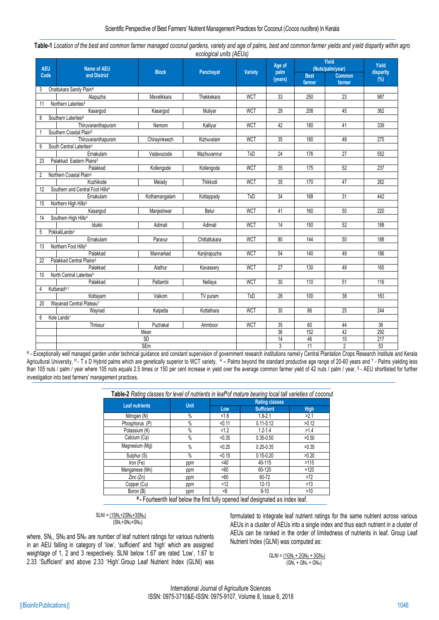| Table-1 Location of the best and common farmer managed coconut gardens, variety and age of palms, best and common farmer yields and yield disparity within agro |                         |  |  |
|-----------------------------------------------------------------------------------------------------------------------------------------------------------------|-------------------------|--|--|
|                                                                                                                                                                 | ecological units (AEUs) |  |  |

| <b>AEU</b> | <b>Name of AEU</b>                           | <b>Block</b>     | Panchayat     | Variety    | Age of<br>palm | Yield<br>(Nuts/palm/year) | Yield<br>disparity      |                  |  |
|------------|----------------------------------------------|------------------|---------------|------------|----------------|---------------------------|-------------------------|------------------|--|
| Code       | and District                                 |                  |               |            | (years)        | <b>Best</b><br>farmer     | <b>Common</b><br>farmer | (%)              |  |
| 3          | Onattukara Sandy Plain <sup>R</sup>          |                  |               |            |                |                           |                         |                  |  |
|            | Alapuzha                                     | Mavelikkara      | Thekkekara    | <b>WCT</b> | 33             | 250                       | $\overline{23}$         | 987              |  |
| 11         | Northern Laterites <sup>s</sup>              |                  |               |            |                |                           |                         |                  |  |
|            | Kasargod                                     | Kasargod         | Muliyar       | <b>WCT</b> | 29             | 208                       | 45                      | 362              |  |
| 8          | Southern LateritesR                          |                  |               |            |                |                           |                         |                  |  |
|            | Thiruvananthapuram                           | Nemom            | Kalliyur      | <b>WCT</b> | 42             | 180                       | 41                      | 339              |  |
|            | Southern Coastal Plain <sup>s</sup>          |                  |               |            |                |                           |                         |                  |  |
|            | Thiruvananthapuram                           | Chirayinkeezh    | Kizhuvalam    | <b>WCT</b> | 35             | 180                       | 48                      | $\overline{275}$ |  |
| 9          | South Central Laterites <sup>H</sup>         |                  |               |            |                |                           |                         |                  |  |
|            | Ernakulam                                    | Vadavucode       | Mazhuvannur   | <b>TxD</b> | 24             | 176                       | $\overline{27}$         | 552              |  |
| 23         | Palakkad Eastern Plains <sup>s</sup>         |                  |               |            |                |                           |                         |                  |  |
|            | Palakkad                                     | Kollengode       | Kollengode    | <b>WCT</b> | 35             | 175                       | 52                      | 237              |  |
| 2          | Northern Coastal Plain <sup>s</sup>          |                  |               |            |                |                           |                         |                  |  |
|            | Kozhikode                                    | Melady           | Thikkodi      | <b>WCT</b> | 35             | 170                       | 47                      | 262              |  |
| 12         | Southern and Central Foot Hills <sup>H</sup> |                  |               |            |                |                           |                         |                  |  |
|            | Ernakulam                                    | Kothamangalam    | Kottappady    | <b>TxD</b> | 34             | 168                       | 31                      | 442              |  |
| 15         | Northern High Hills <sup>s</sup>             |                  |               |            |                |                           |                         |                  |  |
|            | Kasargod                                     | Manjeshwar       | Belur         | <b>WCT</b> | 41             | 160                       | 50                      | 220              |  |
| 14         | Southern High Hills <sup>A</sup>             |                  |               |            |                |                           |                         |                  |  |
|            | Idukki                                       | Adimali          | Adimali       | <b>WCT</b> | 14             | 150                       | 52                      | 188              |  |
| 5          | PokkaliLands <sup>A</sup>                    |                  |               |            |                |                           |                         |                  |  |
|            | Ernakulam                                    | Paravur          | Chittattukara | <b>WCT</b> | 80             | 144                       | 50                      | 188              |  |
| 13         | Northern Foot Hills <sup>s</sup>             |                  |               |            |                |                           |                         |                  |  |
|            | Palakkad                                     | Mannarkad        | Kanjirapuzha  | <b>WCT</b> | 54             | 140                       | 49                      | 186              |  |
| 22         | Palakkad Central Plains <sup>S</sup>         |                  |               |            |                |                           |                         |                  |  |
|            | Palakkad                                     | Alathur          | Kavassery     | <b>WCT</b> | 27             | 130                       | 49                      | 165              |  |
| 10         | North Central Laterites <sup>S</sup>         |                  |               |            |                |                           |                         |                  |  |
|            | Palakkad                                     | Pattambi         | Nellaya       | <b>WCT</b> | 30             | 110                       | 51                      | 116              |  |
| 4          | Kuttanad <sup>H,Y</sup>                      |                  |               | <b>TxD</b> | 28             | 100                       | 38                      | 163              |  |
|            | Kottayam                                     | Vaikom           | TV puram      |            |                |                           |                         |                  |  |
| 20         | Wayanad Central PlateauY                     |                  |               | <b>WCT</b> | 30             | 86                        | 25                      | 244              |  |
|            | Waynad                                       | Kalpetta         | Kottathara    |            |                |                           |                         |                  |  |
| 6          | Kole Lands <sup>Y</sup><br>Thrissur          |                  |               | <b>WCT</b> | 35             | 60                        | 44                      | 36               |  |
|            |                                              | Puzhakal<br>Mean | Arimboor      |            | 36             | 152                       | 42                      | 292              |  |
|            |                                              | <b>SD</b>        |               |            | 14             | 46                        | 10                      | 217              |  |
|            |                                              | <b>SEm</b>       |               |            | 3              | 11                        | $\overline{2}$          | 53               |  |
|            |                                              |                  |               |            |                |                           |                         |                  |  |

R - Exceptionally well managed garden under technical guidance and constant supervision of government research institutions namely Central Plantation Crops Research Institute and Kerala Agricultural University, <sup>н</sup> - T x D Hybrid palms which are genetically superior to WCT variety, A – Palms beyond the standard productive age range of 20-60 years and Y - Palms yielding less than 105 nuts / palm / year where 105 nuts equals 2.5 times or 150 per cent increase in yield over the average common farmer yield of 42 nuts / palm / year, <sup>S</sup>- AEU shortlisted for further investigation into best farmers' management practices.

| Table-2 Rating classes for level of nutrients in leaf#of mature bearing local tall varieties of coconut |             |        |                   |             |  |  |  |  |  |
|---------------------------------------------------------------------------------------------------------|-------------|--------|-------------------|-------------|--|--|--|--|--|
| <b>Leaf nutrients</b>                                                                                   | <b>Unit</b> |        |                   |             |  |  |  |  |  |
|                                                                                                         |             | Low    | <b>Sufficient</b> | <b>High</b> |  |  |  |  |  |
| Nitrogen (N)                                                                                            | $\%$        | < 1.8  | $1.8 - 2.1$       | >2.1        |  |  |  |  |  |
| Phosphorus (P)                                                                                          | $\%$        | < 0.11 | $0.11 - 0.12$     | >0.12       |  |  |  |  |  |
| Potassium (K)                                                                                           | $\%$        | < 1.2  | $1.2 - 1.4$       | >1.4        |  |  |  |  |  |
| Calcium (Ca)                                                                                            | $\%$        | < 0.35 | $0.35 - 0.50$     | >0.50       |  |  |  |  |  |
| Magnesium (Mg)                                                                                          | $\%$        | < 0.25 | $0.25 - 0.35$     | >0.35       |  |  |  |  |  |
| Sulphur (S)                                                                                             | $\%$        | < 0.15 | $0.15 - 0.20$     | >0.20       |  |  |  |  |  |
| Iron (Fe)                                                                                               | ppm         | $<$ 40 | 40-115            | >115        |  |  |  |  |  |
| Manganese (Mn)                                                                                          | ppm         | <60    | 60-120            | >120        |  |  |  |  |  |
| Zinc (Zn)                                                                                               | ppm         | <60    | 60-72             | >72         |  |  |  |  |  |
| Copper (Cu)                                                                                             | ppm         | < 12   | $12 - 13$         | $>13$       |  |  |  |  |  |
| Boron (B)                                                                                               | ppm         | -8     | $8 - 10$          | >10         |  |  |  |  |  |

**# -** Fourteenth leaf below the first fully opened leaf designated as index leaf.

 $SLNI = (1SN_{L} + 2SN_{S} + 3SN_{H})$  $(SN_L+SN_S+SN_H)$ 

where, SNL, SNs and SN<sub>H</sub> are number of leaf nutrient ratings for various nutrients in an AEU falling in category of 'low', 'sufficient' and 'high' which are assigned weightage of 1, 2 and 3 respectively. SLNI below 1.67 are rated 'Low', 1.67 to 2.33 'Sufficient' and above 2.33 'High'.Group Leaf Nutrient Index (GLNI) was formulated to integrate leaf nutrient ratings for the same nutrient across various AEUs in a cluster of AEUs into a single index and thus each nutrient in a cluster of AEUs can be ranked in the order of limitedness of nutrients in leaf. Group Leaf Nutrient Index (GLNI) was computed as:

$$
GLNI = \underbrace{(1GN_{L} + 2GN_{S} + 3GN_{H})}_{(GN_{L} + GN_{S} + GN_{H})}
$$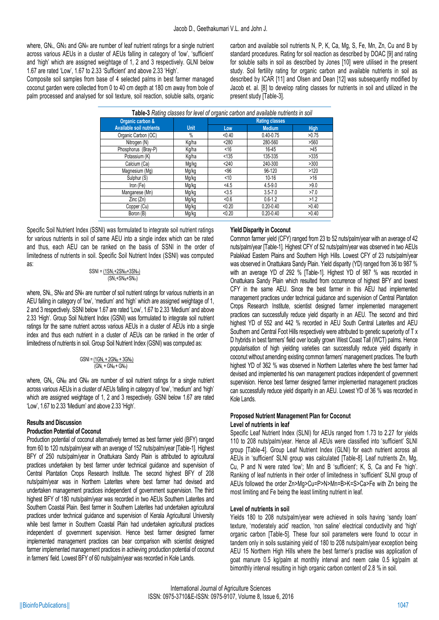where,  $GN<sub>L</sub>$ , GNs and GN<sub>H</sub> are number of leaf nutrient ratings for a single nutrient across various AEUs in a cluster of AEUs falling in category of 'low', 'sufficient' and 'high' which are assigned weightage of 1, 2 and 3 respectively. GLNI below 1.67 are rated 'Low', 1.67 to 2.33 'Sufficient' and above 2.33 'High'.

Composite soil samples from base of 4 selected palms in best farmer managed coconut garden were collected from 0 to 40 cm depth at 180 cm away from bole of palm processed and analysed for soil texture, soil reaction, soluble salts, organic

carbon and available soil nutrients N, P, K, Ca, Mg, S, Fe, Mn, Zn, Cu and B by standard procedures. Rating for soil reaction as described by DOAC [9] and rating for soluble salts in soil as described by Jones [10] were utilised in the present study. Soil fertility rating for organic carbon and available nutrients in soil as described by ICAR [11] and Olsen and Dean [12] was subsequently modified by Jacob et. al. [8] to develop rating classes for nutrients in soil and utilized in the present study [Table-3].

| Table-3 Rating classes for level of organic carbon and available nutrients in soil |             |                       |               |             |  |  |  |  |  |  |
|------------------------------------------------------------------------------------|-------------|-----------------------|---------------|-------------|--|--|--|--|--|--|
| Organic carbon &                                                                   |             | <b>Rating classes</b> |               |             |  |  |  |  |  |  |
| <b>Available soil nutrients</b>                                                    | <b>Unit</b> | Low                   | <b>Medium</b> | <b>High</b> |  |  |  |  |  |  |
| Organic Carbon (OC)                                                                | $\%$        | < 0.40                | $0.40 - 0.75$ | >0.75       |  |  |  |  |  |  |
| Nitrogen (N)                                                                       | Kg/ha       | < 280                 | 280-560       | >560        |  |  |  |  |  |  |
| Phosphorus (Bray-P)                                                                | Kg/ha       | ~16                   | 16-45         | >45         |  |  |  |  |  |  |
| Potassium (K)                                                                      | Kg/ha       | < 135                 | 135-335       | >335        |  |  |  |  |  |  |
| Calcium (Ca)                                                                       | Mg/kg       | < 240                 | 240-300       | >300        |  |  |  |  |  |  |
| Magnesium (Mg)                                                                     | Mg/kg       | < 96                  | 96-120        | >120        |  |  |  |  |  |  |
| Sulphur (S)                                                                        | Mg/kg       | < 10                  | $10 - 16$     | $>16$       |  |  |  |  |  |  |
| Iron (Fe)                                                                          | Mg/kg       | <4.5                  | $4.5 - 9.0$   | >9.0        |  |  |  |  |  |  |
| Manganese (Mn)                                                                     | Mg/kg       | <3.5                  | $3.5 - 7.0$   | >7.0        |  |  |  |  |  |  |
| Zinc (Zn)                                                                          | Mg/kg       | < 0.6                 | $0.6 - 1.2$   | >1.2        |  |  |  |  |  |  |
| Copper (Cu)                                                                        | Mg/kg       | < 0.20                | $0.20 - 0.40$ | >0.40       |  |  |  |  |  |  |
| Boron (B)                                                                          | Mg/kg       | < 0.20                | $0.20 - 0.40$ | >0.40       |  |  |  |  |  |  |

Specific Soil Nutrient Index (SSNI) was formulated to integrate soil nutrient ratings for various nutrients in soil of same AEU into a single index which can be rated and thus, each AEU can be ranked on the basis of SSNI in the order of limitedness of nutrients in soil. Specific Soil Nutrient Index (SSNI) was computed as:

$$
SSNI = \frac{(1SN_{\text{L}}+2SN_{\text{M}}+3SN_{\text{H}})}{(SN_{\text{L}}+SN_{\text{M}}+SN_{\text{H}})}
$$

where, SNL, SN<sub>M</sub> and SN<sub>H</sub> are number of soil nutrient ratings for various nutrients in an AEU falling in category of 'low', 'medium' and 'high' which are assigned weightage of 1, 2 and 3 respectively. SSNI below 1.67 are rated 'Low', 1.67 to 2.33 'Medium' and above 2.33 'High'. Group Soil Nutrient Index (GSNI) was formulated to integrate soil nutrient ratings for the same nutrient across various AEUs in a cluster of AEUs into a single index and thus each nutrient in a cluster of AEUs can be ranked in the order of limitedness of nutrients in soil. Group Soil Nutrient Index (GSNI) was computed as:

$$
GSNI = \frac{(1GN_{i} + 2GN_{M} + 3GN_{i+})}{(GN_{i} + GN_{M} + GN_{i+})}
$$

where,  $GN_L$ ,  $GN_M$  and  $GN_H$  are number of soil nutrient ratings for a single nutrient across various AEUs in a cluster of AEUs falling in category of 'low', 'medium' and 'high' which are assigned weightage of 1, 2 and 3 respectively. GSNI below 1.67 are rated 'Low', 1.67 to 2.33 'Medium' and above 2.33 'High'.

# **Results and Discussion**

# **Production Potential of Coconut**

Production potential of coconut alternatively termed as best farmer yield (BFY) ranged from 60 to 120 nuts/palm/year with an average of 152 nuts/palm/year [Table-1]. Highest BFY of 250 nuts/palm/year in Onattukara Sandy Plain is attributed to agricultural practices undertaken by best farmer under technical guidance and supervision of Central Plantation Crops Research Institute. The second highest BFY of 208 nuts/palm/year was in Northern Laterites where best farmer had devised and undertaken management practices independent of government supervision. The third highest BFY of 180 nuts/palm/year was recorded in two AEUs Southern Laterites and Southern Coastal Plain. Best farmer in Southern Laterites had undertaken agricultural practices under technical guidance and supervision of Kerala Agricultural University while best farmer in Southern Coastal Plain had undertaken agricultural practices independent of government supervision. Hence best farmer designed farmer implemented management practices can bear comparison with scientist designed farmer implemented management practices in achieving production potential of coconut in farmers' field. Lowest BFY of 60 nuts/palm/year was recorded in Kole Lands.

# **Yield Disparity in Coconut**

Common farmer yield (CFY) ranged from 23 to 52 nuts/palm/year with an average of 42 nuts/palm/year [Table-1]. Highest CFY of 52 nuts/palm/year was observed in two AEUs Palakkad Eastern Plains and Southern High Hills. Lowest CFY of 23 nuts/palm/year was observed in Onattukara Sandy Plain. Yield disparity (YD) ranged from 36 to 987 % with an average YD of 292 % [Table-1]. Highest YD of 987 % was recorded in Onattukara Sandy Plain which resulted from occurrence of highest BFY and lowest CFY in the same AEU. Since the best farmer in this AEU had implemented management practices under technical guidance and supervision of Central Plantation Crops Research Institute, scientist designed farmer implemented management practices can successfully reduce yield disparity in an AEU. The second and third highest YD of 552 and 442 % recorded in AEU South Central Laterites and AEU Southern and Central Foot Hills respectively were attributed to genetic superiority of T x D hybrids in best farmers' field over locally grown West Coast Tall (WCT) palms. Hence popularisation of high yielding varieties can successfully reduce yield disparity in coconut without amending existing common farmers' management practices. The fourth highest YD of 362 % was observed in Northern Laterites where the best farmer had devised and implemented his own management practices independent of government supervision. Hence best farmer designed farmer implemented management practices can successfully reduce yield disparity in an AEU. Lowest YD of 36 % was recorded in Kole Lands.

#### **Proposed Nutrient Management Plan for Coconut Level of nutrients in leaf**

Specific Leaf Nutrient Index (SLNI) for AEUs ranged from 1.73 to 2.27 for yields 110 to 208 nuts/palm/year. Hence all AEUs were classified into 'sufficient' SLNI group [Table-4]. Group Leaf Nutrient Index (GLNI) for each nutrient across all AEUs in 'sufficient' SLNI group was calculated [Table-8]. Leaf nutrients Zn, Mg, Cu, P and N were rated 'low'; Mn and B 'sufficient'; K, S, Ca and Fe 'high'. Ranking of leaf nutrients in their order of limitedness in 'sufficient' SLNI group of AEUs followed the order Zn>Mg>Cu=P>N>Mn=B>K=S>Ca>Fe with Zn being the most limiting and Fe being the least limiting nutrient in leaf.

# **Level of nutrients in soil**

Yields 180 to 208 nuts/palm/year were achieved in soils having 'sandy loam' texture, 'moderately acid' reaction, 'non saline' electrical conductivity and 'high' organic carbon [Table-5]. These four soil parameters were found to occur in tandem only in soils sustaining yield of 180 to 208 nuts/palm/year exception being AEU 15 Northern High Hills where the best farmer's practise was application of goat manure 0.5 kg/palm at monthly interval and neem cake 0.5 kg/palm at bimonthly interval resulting in high organic carbon content of 2.8 % in soil.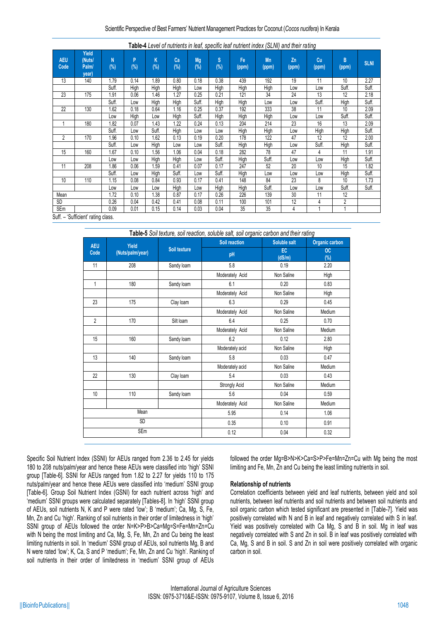| <b>AEU</b><br>Code | Yield<br>(Nuts)<br>Palm/<br>year) | N<br>$(\%)$ | P<br>(%) | Κ<br>(%) | Ca<br>(%) | Mg<br>(%) | ls.<br>$(\%)$ | Fe<br>(ppm) | Mn<br>(ppm) | Zn<br>(ppm) | Cu<br>(ppm) | B<br>(ppm)     | <b>SLNI</b> |
|--------------------|-----------------------------------|-------------|----------|----------|-----------|-----------|---------------|-------------|-------------|-------------|-------------|----------------|-------------|
| 13                 | 140                               | 1.79        | 0.14     | 1.89     | 0.80      | 0.18      | 0.38          | 439         | 192         | 19          | 11          | 10             | 2.27        |
|                    |                                   | Suff.       | High     | High     | High      | Low       | High          | High        | High        | Low         | Low         | Suff.          | Suff.       |
| 23                 | 175                               | 1.91        | 0.06     | 1.46     | 1.27      | 0.25      | 0.21          | 121         | 34          | 24          | 13          | 12             | 2.18        |
|                    |                                   | Suff.       | Low      | High     | High      | Suff.     | High          | High        | Low         | Low         | Suff.       | High           | Suff.       |
| 22                 | 130                               | 1.62        | 0.18     | 0.64     | 1.16      | 0.25      | 0.37          | 192         | 333         | 38          | 11          | 10             | 2.09        |
|                    |                                   | Low         | High     | Low      | High      | Suff.     | High          | High        | High        | Low         | Low         | Suff.          | Suff.       |
| 1                  | 180                               | 1.82        | 0.07     | 1.43     | 1.22      | 0.24      | 0.13          | 204         | 214         | 23          | 16          | 13             | 2.09        |
|                    |                                   | Suff.       | Low      | Suff.    | High      | Low       | Low           | High        | High        | Low         | High        | High           | Suff.       |
| 2                  | 170                               | 1.96        | 0.10     | 1.62     | 0.13      | 0.19      | 0.20          | 178         | 122         | 47          | 12          | 12             | 2.00        |
|                    |                                   | Suff.       | Low      | High     | Low       | Low       | Suff.         | High        | High        | Low         | Suff.       | High           | Suff.       |
| 15                 | 160                               | 1.67        | 0.10     | 1.56     | 1.06      | 0.04      | 0.18          | 282         | 78          | 47          | 4           | 11             | 1.91        |
|                    |                                   | Low         | Low      | High     | High      | Low       | Suff.         | High        | Suff.       | Low         | Low         | High           | Suff.       |
| 11                 | 208                               | 1.86        | 0.06     | 1.59     | 0.41      | 0.07      | 0.17          | 247         | 52          | 20          | 10          | 15             | 1.82        |
|                    |                                   | Suff.       | Low      | High     | Suff.     | Low       | Suff.         | High        | Low         | Low         | Low         | High           | Suff.       |
| 10                 | 110                               | 1.15        | 0.08     | 0.84     | 0.93      | 0.17      | 0.41          | 148         | 84          | 23          | 8           | 10             | 1.73        |
|                    |                                   | Low         | Low      | Low      | High      | Low       | High          | High        | Suff.       | Low         | Low         | Suff.          | Suff.       |
| Mean               |                                   | 1.72        | 0.10     | 1.38     | 0.87      | 0.17      | 0.26          | 226         | 139         | 30          | 11          | 12             |             |
| <b>SD</b>          |                                   | 0.26        | 0.04     | 0.42     | 0.41      | 0.08      | 0.11          | 100         | 101         | 12          | 4           | $\overline{2}$ |             |
| <b>SEm</b>         |                                   | 0.09        | 0.01     | 0.15     | 0.14      | 0.03      | 0.04          | 35          | 35          | 4           |             |                |             |
| $C_{11}ff$         | Cuffiniant' rating along          |             |          |          |           |           |               |             |             |             |             |                |             |

Suff. – 'Sufficient' rating class.

|                | Table-5 Soil texture, soil reaction, soluble salt, soil organic carbon and their rating |              |                 |              |                  |  |  |  |  |  |  |
|----------------|-----------------------------------------------------------------------------------------|--------------|-----------------|--------------|------------------|--|--|--|--|--|--|
| <b>AEU</b>     | Yield                                                                                   |              | Soil reaction   | Soluble salt | Organic carbon   |  |  |  |  |  |  |
| Code           | (Nuts/palm/year)                                                                        | Soil texture | pH              | EC<br>(dS/m) | <b>OC</b><br>(%) |  |  |  |  |  |  |
| 11             | 208                                                                                     | Sandy loam   | 5.8             | 0.19         | 2.20             |  |  |  |  |  |  |
|                |                                                                                         |              | Moderately Acid | Non Saline   | High             |  |  |  |  |  |  |
| 1              | 180                                                                                     | Sandy loam   | 6.1             | 0.20         | 0.83             |  |  |  |  |  |  |
|                |                                                                                         |              | Moderately Acid | Non Saline   | High             |  |  |  |  |  |  |
| 23             | 175                                                                                     | Clay Ioam    | 6.3             | 0.29         | 0.45             |  |  |  |  |  |  |
|                |                                                                                         |              | Moderately Acid | Non Saline   | Medium           |  |  |  |  |  |  |
| $\overline{2}$ | 170                                                                                     | Silt loam    | 6.4             | 0.25         | 0.70             |  |  |  |  |  |  |
|                |                                                                                         |              | Moderately Acid | Non Saline   | Medium           |  |  |  |  |  |  |
| 15             | 160                                                                                     | Sandy loam   | 6.2             | 0.12         | 2.80             |  |  |  |  |  |  |
|                |                                                                                         |              | Moderately acid | Non Saline   | High             |  |  |  |  |  |  |
| 13             | 140                                                                                     | Sandy loam   | $5.8\,$         | 0.03         | 0.47             |  |  |  |  |  |  |
|                |                                                                                         |              | Moderately acid | Non Saline   | Medium           |  |  |  |  |  |  |
| 22             | 130                                                                                     | Clay loam    | 5.4             | 0.03         | 0.43             |  |  |  |  |  |  |
|                |                                                                                         |              | Strongly Acid   | Non Saline   | Medium           |  |  |  |  |  |  |
| 10             | 110                                                                                     | Sandy loam   | 5.6             | 0.04         | 0.59             |  |  |  |  |  |  |
|                |                                                                                         |              | Moderately Acid | Non Saline   | Medium           |  |  |  |  |  |  |
|                | Mean                                                                                    |              | 5.95            | 0.14         | 1.06             |  |  |  |  |  |  |
|                | <b>SD</b>                                                                               |              | 0.35            | 0.10         | 0.91             |  |  |  |  |  |  |
|                | SEm                                                                                     |              | 0.12            | 0.04         | 0.32             |  |  |  |  |  |  |

Specific Soil Nutrient Index (SSNI) for AEUs ranged from 2.36 to 2.45 for yields 180 to 208 nuts/palm/year and hence these AEUs were classified into 'high' SSNI group [Table-6]. SSNI for AEUs ranged from 1.82 to 2.27 for yields 110 to 175 nuts/palm/year and hence these AEUs were classified into 'medium' SSNI group [Table-6]. Group Soil Nutrient Index (GSNI) for each nutrient across 'high' and 'medium' SSNI groups were calculated separately [Tables-8]. In 'high' SSNI group of AEUs, soil nutrients N, K and P were rated 'low'; B 'medium'; Ca, Mg, S, Fe, Mn, Zn and Cu 'high'. Ranking of soil nutrients in their order of limitedness in 'high' SSNI group of AEUs followed the order N=K>P>B>Ca=Mg=S=Fe=Mn=Zn=Cu with N being the most limiting and Ca, Mg, S, Fe, Mn, Zn and Cu being the least limiting nutrients in soil. In 'medium' SSNI group of AEUs, soil nutrients Mg, B and N were rated 'low'; K, Ca, S and P 'medium'; Fe, Mn, Zn and Cu 'high'. Ranking of soil nutrients in their order of limitedness in 'medium' SSNI group of AEUs followed the order Mg=B>N>K>Ca=S>P>Fe=Mn=Zn=Cu with Mg being the most limiting and Fe, Mn, Zn and Cu being the least limiting nutrients in soil.

# **Relationship of nutrients**

Correlation coefficients between yield and leaf nutrients, between yield and soil nutrients, between leaf nutrients and soil nutrients and between soil nutrients and soil organic carbon which tested significant are presented in [Table-7]. Yield was positively correlated with N and B in leaf and negatively correlated with S in leaf. Yield was positively correlated with Ca Mg, S and B in soil. Mg in leaf was negatively correlated with S and Zn in soil. B in leaf was positively correlated with Ca, Mg, S and B in soil. S and Zn in soil were positively correlated with organic carbon in soil.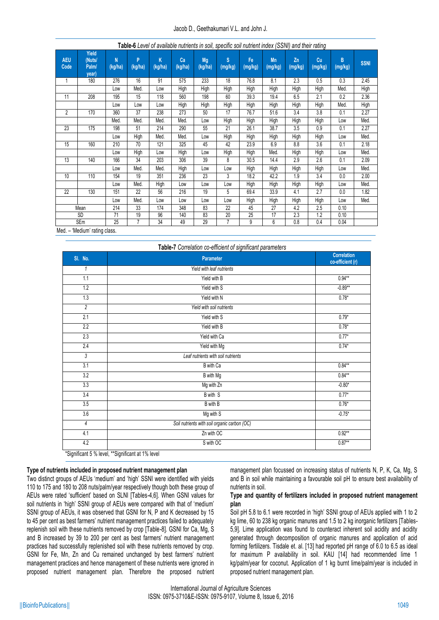| <b>AEU</b><br>Code | Yield<br>(Nuts/<br>Palm/<br>year) | N<br>(kg/ha) | P<br>(kg/ha) | K<br>(kg/ha) | Ca<br>(kg/ha) | Mg<br>(kg/ha) | $\mathbf{s}$<br>(mg/kg) | Fe<br>(mg/kg) | Mn<br>(mg/kg) | Zn<br>(mg/kg) | <u>ີ່</u><br><b>Cu</b><br>(mg/kg) | B<br>(mg/kg) | <b>SSNI</b> |
|--------------------|-----------------------------------|--------------|--------------|--------------|---------------|---------------|-------------------------|---------------|---------------|---------------|-----------------------------------|--------------|-------------|
| 1                  | 180                               | 276          | 16           | 91           | 575           | 233           | 18                      | 76.8          | 8.1           | 2.3           | 0.5                               | 0.3          | 2.45        |
|                    |                                   | Low          | Med.         | Low          | High          | High          | High                    | High          | High          | High          | <b>High</b>                       | Med.         | High        |
| 11                 | 208                               | 195          | 15           | 118          | 560           | 198           | 60                      | 39.3          | 19.4          | 6.5           | 2.1                               | 0.2          | 2.36        |
|                    |                                   | Low          | Low          | Low          | High          | High          | <b>High</b>             | High          | High          | High          | High                              | Med.         | <b>High</b> |
| 2                  | 170                               | 360          | 37           | 238          | 273           | 50            | 17                      | 76.7          | 51.6          | 3.4           | 3.8                               | 0.1          | 2.27        |
|                    |                                   | Med.         | Med.         | Med.         | Med.          | Low           | High                    | High          | High          | High          | High                              | Low          | Med.        |
| 23                 | 175                               | 198          | 51           | 214          | 290           | 55            | 21                      | 26.1          | 38.7          | 3.5           | 0.9                               | 0.1          | 2.27        |
|                    |                                   | Low          | High         | Med.         | Med.          | Low           | High                    | <b>High</b>   | High          | High          | High                              | Low          | Med.        |
| 15                 | 160                               | 210          | 70           | 121          | 325           | 45            | 42                      | 23.9          | 6.9           | 8.8           | 3.6                               | 0.1          | 2.18        |
|                    |                                   | Low          | High         | Low          | High          | Low           | High                    | High          | Med.          | High          | High                              | Low          | Med.        |
| 13                 | 140                               | 166          | 34           | 203          | 306           | 39            | 8                       | 30.5          | 14.4          | 2.9           | 2.6                               | 0.1          | 2.09        |
|                    |                                   | Low          | Med.         | Med.         | High          | Low           | Low                     | High          | High          | High          | High                              | Low          | Med.        |
| 10                 | 110                               | 154          | 19           | 351          | 236           | 23            | 3                       | 18.2          | 42.2          | 1.9           | 3.4                               | 0.0          | 2.00        |
|                    |                                   | Low          | Med.         | High         | Low           | Low           | Low                     | High          | High          | High          | High                              | Low          | Med.        |
| 22                 | 130                               | 151          | 22           | 56           | 216           | 19            | 5                       | 69.4          | 33.9          | 4.1           | 2.7                               | 0.0          | 1.82        |
|                    |                                   | Low          | Med.         | Low          | Low           | Low           | Low                     | High          | High          | High          | High                              | Low          | Med.        |
|                    | Mean                              | 214          | 33           | 174          | 348           | 83            | 22                      | 45            | 27            | 4.2           | 2.5                               | 0.10         |             |
|                    | SD.                               | 71           | 19           | 96           | 140           | 83            | 20                      | 25            | 17            | 2.3           | 1.2                               | 0.10         |             |
| $M \sim d$         | SEm<br>illadium' ration alone     | 25           | 7            | 34           | 49            | 29            | 7                       | 9             | 6             | 0.8           | 0.4                               | 0.04         |             |

**Table-6** *Level of available nutrients in soil, specific soil nutrient index (SSNI) and their rating*

Med. – 'Medium' rating class.

| SI. No.          | Parameter                                    | <b>Correlation</b><br>co-efficient (r) |
|------------------|----------------------------------------------|----------------------------------------|
| 1                | Yield with leaf nutrients                    |                                        |
| 1.1              | Yield with B                                 | $0.94**$                               |
| 1.2              | Yield with S                                 | $-0.89**$                              |
| 1.3              | Yield with N                                 | $0.78*$                                |
| $\overline{2}$   | Yield with soil nutrients                    |                                        |
| 2.1              | Yield with S                                 | $0.79*$                                |
| 2.2              | Yield with B                                 | $0.78*$                                |
| 2.3              | Yield with Ca                                | $0.77*$                                |
| 2.4              | Yield with Mg                                | $0.74*$                                |
| 3                | Leaf nutrients with soil nutrients           |                                        |
| 3.1              | B with Ca                                    | $0.84**$                               |
| $\overline{3.2}$ | B with Mg                                    | $0.84**$                               |
| 3.3              | Mg with Zn                                   | $-0.80*$                               |
| 3.4              | B with S                                     | $0.77*$                                |
| 3.5              | B with B                                     | $0.76*$                                |
| 3.6              | Mg with S                                    | $-0.75*$                               |
| 4                | Soil nutrients with soil organic carbon (OC) |                                        |
| 4.1              | Zn with OC                                   | $0.92**$                               |
| 4.2              | S with OC                                    | $0.87**$                               |

# **Type of nutrients included in proposed nutrient management plan**

Two distinct groups of AEUs 'medium' and 'high' SSNI were identified with yields 110 to 175 and 180 to 208 nuts/palm/year respectively though both these group of AEUs were rated 'sufficient' based on SLNI [Tables-4,6]. When GSNI values for soil nutrients in 'high' SSNI group of AEUs were compared with that of 'medium' SSNI group of AEUs, it was observed that GSNI for N, P and K decreased by 15 to 45 per cent as best farmers' nutrient management practices failed to adequately replenish soil with these nutrients removed by crop [Table-8]. GSNI for Ca, Mg, S and B increased by 39 to 200 per cent as best farmers' nutrient management practices had successfully replenished soil with these nutrients removed by crop. GSNI for Fe, Mn, Zn and Cu remained unchanged by best farmers' nutrient management practices and hence management of these nutrients were ignored in proposed nutrient management plan. Therefore the proposed nutrient management plan focussed on increasing status of nutrients N, P, K, Ca, Mg, S and B in soil while maintaining a favourable soil pH to ensure best availability of nutrients in soil.

#### **Type and quantity of fertilizers included in proposed nutrient management plan**

Soil pH 5.8 to 6.1 were recorded in 'high' SSNI group of AEUs applied with 1 to 2 kg lime, 60 to 238 kg organic manures and 1.5 to 2 kg inorganic fertilizers [Tables-5,9]. Lime application was found to counteract inherent soil acidity and acidity generated through decomposition of organic manures and application of acid forming fertilizers. Tisdale et. al. [13] had reported pH range of 6.0 to 6.5 as ideal for maximum P availability in soil. KAU [14] had recommended lime 1 kg/palm/year for coconut. Application of 1 kg burnt lime/palm/year is included in proposed nutrient management plan.

International Journal of Agriculture Sciences ISSN: 0975-3710&E-ISSN: 0975-9107, Volume 8, Issue 6, 2016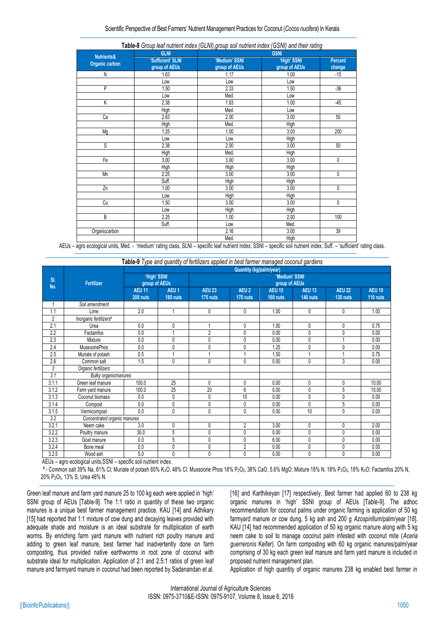#### Scientific Perspective of Best Farmers' Nutrient Management Practices for Coconut (*Cocos nucifera*) In Kerala

| <b>Nutrients&amp;</b> | <b>GLNI</b>                        |                                | <b>GSNI</b>                  |                   |
|-----------------------|------------------------------------|--------------------------------|------------------------------|-------------------|
| Organic carbon        | 'Sufficient' SLNI<br>group of AEUs | 'Medium' SSNI<br>group of AEUs | 'High' SSNI<br>group of AEUs | Percent<br>change |
| N                     | 1.63                               | 1.17                           | 1.00                         | $-15$             |
|                       | Low                                | Low                            | Low                          |                   |
| P                     | 1.50                               | 2.33                           | 1.50                         | $-36$             |
|                       | Low                                | Med.                           | Low                          |                   |
| Κ                     | 2.38                               | 1.83                           | 1.00                         | $-45$             |
|                       | High                               | Med.                           | Low                          |                   |
| Ca                    | 2.63                               | 2.00                           | 3.00                         | 50                |
|                       | <b>High</b>                        | Med.                           | High                         |                   |
| Mg                    | 1.25                               | 1.00                           | 3.00                         | 200               |
|                       | Low                                | Low                            | High                         |                   |
| S                     | 2.38                               | 2.00                           | 3.00                         | 50                |
|                       | High                               | Med.                           | High                         |                   |
| Fe                    | 3.00                               | 3.00                           | 3.00                         | 0                 |
|                       | High                               | High                           | High                         |                   |
| Mn                    | 2.25                               | 3.00                           | 3.00                         | 0                 |
|                       | Suff.                              | High                           | High                         |                   |
| Zn                    | 1.00                               | 3.00                           | 3.00                         | 0                 |
|                       | Low                                | High                           | High                         |                   |
| Cu                    | 1.50                               | 3.00                           | 3.00                         | 0                 |
|                       | Low                                | High                           | High                         |                   |
| B                     | 2.25                               | 1.00                           | 2.00                         | 100               |
|                       | Suff.                              | Low                            | Med.                         |                   |
| Organiccarbon         |                                    | 2.16                           | 3.00                         | 39                |
|                       |                                    | Med.                           | High                         |                   |

| Table-8 Group leaf nutrient index (GLNI), group soil nutrient index (GSNI) and their rating |  |  |
|---------------------------------------------------------------------------------------------|--|--|
|---------------------------------------------------------------------------------------------|--|--|

AEUs – agro ecological units, Med. - 'medium' rating class, SLNI – specific leaf nutrient index, SSNI – specific soil nutrient index, Suff. – 'sufficient' rating class.

**Table-9** *Type and quantity of fertilizers applied in best farmer managed coconut gardens*

|                | Fertilizer                   |                              |                              |                                | <b>Quantity (kg/palm/year)</b> |                           |                           |                           |                           |  |
|----------------|------------------------------|------------------------------|------------------------------|--------------------------------|--------------------------------|---------------------------|---------------------------|---------------------------|---------------------------|--|
| SI.<br>No.     |                              | 'High' SSNI<br>group of AEUs |                              | 'Medium' SSNI<br>group of AEUs |                                |                           |                           |                           |                           |  |
|                |                              | <b>AEU 11</b><br>208 nuts    | AEU <sub>1</sub><br>180 nuts | <b>AEU 23</b><br>175 nuts      | AEU <sub>2</sub><br>170 nuts   | <b>AEU 15</b><br>160 nuts | <b>AEU 13</b><br>140 nuts | <b>AEU 22</b><br>130 nuts | <b>AEU 10</b><br>110 nuts |  |
| 1              | Soil amendment               |                              |                              |                                |                                |                           |                           |                           |                           |  |
| 1.1            | Lime                         | 2.0                          |                              | 0                              | 0                              | 1.00                      | 0                         | 0                         | 1.00                      |  |
| $\overline{c}$ | Inorganic fertilizers#       |                              |                              |                                |                                |                           |                           |                           |                           |  |
| 2.1            | Urea                         | 0.0                          | 0                            |                                | 0                              | 1.00                      | 0                         | 0                         | 0.75                      |  |
| 2.2            | Factamfos                    | 0.0                          |                              | $\overline{2}$                 | 0                              | 0.00                      | 0                         | $\mathbf{0}$              | 0.00                      |  |
| 2.3            | Mixture                      | 0.0                          | 0                            | 0                              | 0                              | 0.00                      | 0                         |                           | 0.00                      |  |
| 2.4            | <b>MussooriePhos</b>         | 0.0                          | 0                            | 0                              | 0                              | 1.25                      | 0                         | 0                         | 0.00                      |  |
| 2.5            | Muriate of potash            | 0.5                          |                              |                                |                                | 1.50                      |                           |                           | 0.75                      |  |
| 2.6            | Common salt                  | 1.5                          | 0                            | 0                              | 0                              | 0.00                      | 0                         | 3                         | 0.00                      |  |
| 3              | Organic fertilizers          |                              |                              |                                |                                |                           |                           |                           |                           |  |
| 3.1            | <b>Bulky organicmanures</b>  |                              |                              |                                |                                |                           |                           |                           |                           |  |
| 3.1.1          | Green leaf manure            | 100.0                        | 25                           | 0                              | 0                              | 0.00                      | 0                         | 0                         | 10.00                     |  |
| 3.1.2          | Farm yard manure             | 100.0                        | 25                           | 20                             | 6                              | 0.00                      | 0                         | 5                         | 10.00                     |  |
| 3.1.3          | Coconut biomass              | 0.0                          | 0                            | 0                              | 10                             | 0.00                      | 0                         | 0                         | 0.00                      |  |
| 3.1.4          | Compost                      | 0.0                          | 0                            | 0                              | 0                              | 0.00                      | 0                         | 5                         | 0.00                      |  |
| 3.1.5          | Vermicompost                 | 0.0                          | 0                            | 0                              | 0                              | 0.00                      | 10                        | 0                         | 0.00                      |  |
| 3.2            | Concentrated organic manures |                              |                              |                                |                                |                           |                           |                           |                           |  |
| 3.2.1          | Neem cake                    | 3.0                          | 0                            | 0                              | $\overline{2}$                 | 3.00                      | 0                         | $\mathbf{0}$              | 2.00                      |  |
| 3.2.2          | Poultry manure               | 30.0                         | 5                            | 0                              | 0                              | 0.00                      | 0                         | 0                         | 0.00                      |  |
| 3.2.3          | Goat manure                  | 0.0                          | 5                            | 0                              | 0                              | 6.00                      | 0                         | 0                         | 0.00                      |  |
| 3.2.4          | Bone meal                    | 0.0                          | 0                            | 0                              | $\overline{2}$                 | 0.00                      | 0                         | $\mathbf{0}$              | 0.00                      |  |
| 3.2.5          | Wood ash                     | 5.0                          | 0                            | 0                              | 0                              | 0.00                      | 0                         | $\mathbf{0}$              | 0.00                      |  |

AEUs – agro ecological units,SSNI – specific soil nutrient index.

 # - Common salt 39% Na, 61% Cl; Muriate of potash 60% K2O, 48% Cl; Mussoorie Phos 18% P2O5, 38% CaO, 5.6% MgO; Mixture 18% N, 18% P2O5, 18% K2O; Factamfos 20% N, 20% P2O5, 13% S; Urea 46% N.

Green leaf manure and farm yard manure 25 to 100 kg each were applied in 'high' SSNI group of AEUs [Table-9]. The 1:1 ratio in quantity of these two organic manures is a unique best farmer management practice. KAU [14] and Adhikary [15] had reported that 1:1 mixture of cow dung and decaying leaves provided with adequate shade and moisture is an ideal substrate for multiplication of earth worms. By enriching farm yard manure with nutrient rich poultry manure and adding to green leaf manure, best farmer had inadvertently done on farm composting, thus provided native earthworms in root zone of coconut with substrate ideal for multiplication. Application of 2:1 and 2.5:1 ratios of green leaf manure and farmyard manure in coconut had been reported by Sadanandan et al. [16] and Karthikeyan [17] respectively. Best farmer had applied 60 to 238 kg organic manures in 'high' SSNI group of AEUs [Table-9]. The adhoc recommendation for coconut palms under organic farming is application of 50 kg farmyard manure or cow dung, 5 kg ash and 200 g *Azospirillum*/palm/year [18]. KAU [14] had recommended application of 50 kg organic manure along with 5 kg neem cake to soil to manage coconut palm infested with coconut mite (*Aceria guerreronis* Keifer). On farm composting with 60 kg organic manures/palm/year comprising of 30 kg each green leaf manure and farm yard manure is included in proposed nutrient management plan.

Application of high quantity of organic manures 238 kg enabled best farmer in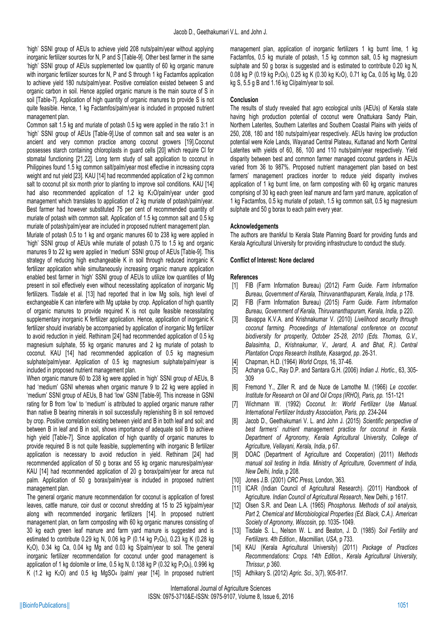'high' SSNI group of AEUs to achieve yield 208 nuts/palm/year without applying inorganic fertilizer sources for N, P and S [Table-9]. Other best farmer in the same 'high' SSNI group of AEUs supplemented low quantity of 60 kg organic manure with inorganic fertilizer sources for N, P and S through 1 kg Factamfos application to achieve yield 180 nuts/palm/year. Positive correlation existed between S and organic carbon in soil. Hence applied organic manure is the main source of S in soil [Table-7]. Application of high quantity of organic manures to provide S is not quite feasible. Hence, 1 kg Factamfos/palm/year is included in proposed nutrient management plan.

Common salt 1.5 kg and muriate of potash 0.5 kg were applied in the ratio 3:1 in 'high' SSNI group of AEUs [Table-9].Use of common salt and sea water is an ancient and very common practice among coconut growers [19].Coconut possesses starch containing chloroplasts in guard cells [20] which require Cl for stomatal functioning [21,22]. Long term study of salt application to coconut in Philippines found 1.5 kg common salt/palm/year most effective in increasing copra weight and nut yield [23]. KAU [14] had recommended application of 2 kg common salt to coconut pit six month prior to planting to improve soil conditions. KAU [14] had also recommended application of 1.2 kg K<sub>2</sub>O/palm/year under good management which translates to application of 2 kg muriate of potash/palm/year. Best farmer had however substituted 75 per cent of recommended quantity of muriate of potash with common salt. Application of 1.5 kg common salt and 0.5 kg muriate of potash/palm/year are included in proposed nutrient management plan.

Muriate of potash 0.5 to 1 kg and organic manures 60 to 238 kg were applied in 'high' SSNI group of AEUs while muriate of potash 0.75 to 1.5 kg and organic manures 9 to 22 kg were applied in 'medium' SSNI group of AEUs [Table-9]. This strategy of reducing high exchangeable K in soil through reduced inorganic K fertilizer application while simultaneously increasing organic manure application enabled best farmer in 'high' SSNI group of AEUs to utilize low quantities of Mg present in soil effectively even without necessitating application of inorganic Mg fertilizers. Tisdale et al. [13] had reported that in low Mg soils, high level of exchangeable K can interfere with Mg uptake by crop. Application of high quantity of organic manures to provide required K is not quite feasible necessitating supplementary inorganic K fertilizer application. Hence, application of inorganic K fertilizer should invariably be accompanied by application of inorganic Mg fertilizer to avoid reduction in yield. Rethinam [24] had recommended application of 0.5 kg magnesium sulphate, 55 kg organic manures and 2 kg muriate of potash to coconut. KAU [14] had recommended application of 0.5 kg magnesium sulphate/palm/year. Application of 0.5 kg magnesium sulphate/palm/year is included in proposed nutrient management plan.

When organic manure 60 to 238 kg were applied in 'high' SSNI group of AEUs, B had 'medium' GSNI whereas when organic manure 9 to 22 kg were applied in 'medium' SSNI group of AEUs, B had 'low' GSNI [Table-9]. This increase in GSNI rating for B from 'low' to 'medium' is attributed to applied organic manure rather than native B bearing minerals in soil successfully replenishing B in soil removed by crop. Positive correlation existing between yield and B in both leaf and soil; and between B in leaf and B in soil, shows importance of adequate soil B to achieve high yield [Table-7]. Since application of high quantity of organic manures to provide required B is not quite feasible, supplementing with inorganic B fertilizer application is necessary to avoid reduction in yield. Rethinam [24] had recommended application of 50 g borax and 55 kg organic manures/palm/year. KAU [14] had recommended application of 20 g borax/palm/year for areca nut palm. Application of 50 g borax/palm/year is included in proposed nutrient management plan.

The general organic manure recommendation for coconut is application of forest leaves, cattle manure, coir dust or coconut shredding at 15 to 25 kg/palm/year along with recommended inorganic fertilizers [14]. In proposed nutrient management plan, on farm composting with 60 kg organic manures consisting of 30 kg each green leaf manure and farm yard manure is suggested and is estimated to contribute 0.29 kg N, 0.06 kg P (0.14 kg P<sub>2</sub>O<sub>5</sub>), 0.23 kg K (0.28 kg K<sub>2</sub>O), 0.34 kg Ca, 0.04 kg Mg and 0.03 kg S/palm/year to soil. The general inorganic fertilizer recommendation for coconut under good management is application of 1 kg dolomite or lime,  $0.5$  kg N,  $0.138$  kg P ( $0.32$  kg P<sub>2</sub>O<sub>5</sub>),  $0.996$  kg K (1.2 kg  $K_2O$ ) and 0.5 kg MgSO<sub>4</sub> /palm/ year [14]. In proposed nutrient management plan, application of inorganic fertilizers 1 kg burnt lime, 1 kg Factamfos, 0.5 kg muriate of potash, 1.5 kg common salt, 0.5 kg magnesium sulphate and 50 g borax is suggested and is estimated to contribute 0.20 kg N, 0.08 kg P (0.19 kg P2O5), 0.25 kg K (0.30 kg K2O), 0.71 kg Ca, 0.05 kg Mg, 0.20 kg S, 5.5 g B and 1.16 kg Cl/palm/year to soil.

#### **Conclusion**

The results of study revealed that agro ecological units (AEUs) of Kerala state having high production potential of coconut were Onattukara Sandy Plain, Northern Laterites, Southern Laterites and Southern Coastal Plains with yields of 250, 208, 180 and 180 nuts/palm/year respectively. AEUs having low production potential were Kole Lands, Wayanad Central Plateau, Kuttanad and North Central Laterites with yields of 60, 86, 100 and 110 nuts/palm/year respectively. Yield disparity between best and common farmer managed coconut gardens in AEUs varied from 36 to 987%. Proposed nutrient management plan based on best farmers' management practices inorder to reduce yield disparity involves application of 1 kg burnt lime, on farm composting with 60 kg organic manures comprising of 30 kg each green leaf manure and farm yard manure, application of 1 kg Factamfos, 0.5 kg muriate of potash, 1.5 kg common salt, 0.5 kg magnesium sulphate and 50 g borax to each palm every year.

#### **Acknowledgements**

The authors are thankful to Kerala State Planning Board for providing funds and Kerala Agricultural University for providing infrastructure to conduct the study.

#### **Conflict of Interest: None declared**

#### **References**

- [1] FIB (Farm Information Bureau) (2012) *Farm Guide. Farm Information Bureau, Government of Kerala, Thiruvananthapuram, Kerala, India, p* 178.
- [2] FIB (Farm Information Bureau) (2015) *Farm Guide. Farm Information Bureau, Government of Kerala, Thiruvananthapuram, Kerala, India,* p 220.
- [3] Bavappa K.V.A. and Krishnakumar V. (2010) *Livelihood security through coconut farming. Proceedings of International conference on coconut biodiversity for prosperity, October 25-28, 2010 (Eds. Thomas, G.V., Balasimha, D., Krishnakumar, V., Jerard, A. and Bhat, R.). Central Plantation Crops Research Institute, Kasargod, pp*. 26-31.
- [4] Chapman, H.D. (1964) *World Crops*, 16, 37-46.
- [5] Acharya G.C., Ray D.P. and Santara G.H. (2006) *Indian J. Hortic.,* 63, 305- 309
- [6] Fremond Y., Ziller R. and de Nuce de Lamothe M. (1966) *Le cocotier. Institute for Research on Oil and Oil Crops (IRHO), Paris, pp.* 151-121
- [7] Wichmann W. (1992) *Coconut. In: World Fertilizer Use Manual. International Fertilizer Industry Association, Paris, pp.* 234-244
- [8] Jacob D., Geethakumari V. L. and John J. (2015) *Scientific perspective of best farmers' nutrient management practice for coconut in Kerala. Department of Agronomy, Kerala Agricultural University, College of Agriculture, Vellayani, Kerala, India*, p 67.
- [9] DOAC (Department of Agriculture and Cooperation) (2011) *Methods manual soil testing in India. Ministry of Agriculture, Government of India, New Delhi, India*, p 208.
- [10] Jones J.B. (2001) *CRC Press,* London, 363.
- [11] ICAR (Indian Council of Agricultural Research). (2011) Handbook of Agriculture*. Indian Council of Agricultural Research*, New Delhi, p 1617.
- [12] Olsen S.R. and Dean L.A. (1965) *Phosphorus. Methods of soil analysis, Part 2, Chemical and Microbiological Properties (Ed. Black, C.A.). American Society of Agronomy, Wiscosin,* pp. 1035- 1049.
- [13] Tisdale S. L., Nelson W. L. and Beaton, J. D. (1985) *Soil Fertility and Fertilizers. 4th Edition., Macmillian, USA,* p 733.
- [14] KAU (Kerala Agricultural University) (2011) *Package of Practices Recommendations: Crops. 14th Edition., Kerala Agricultural University, Thrissur, p* 360.
- [15] Adhikary S. (2012) *Agric. Sci.,* 3(7), 905-917.

International Journal of Agriculture Sciences ISSN: 0975-3710&E-ISSN: 0975-9107, Volume 8, Issue 6, 2016